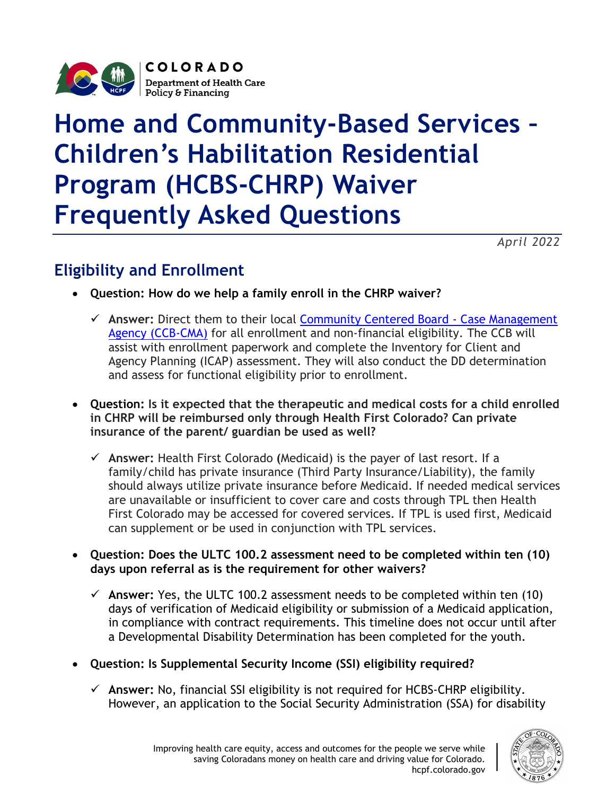

# **Home and Community-Based Services – Children's Habilitation Residential Program (HCBS-CHRP) Waiver Frequently Asked Questions**

*April 2022*

# **Eligibility and Enrollment**

- **Question: How do we help a family enroll in the CHRP waiver?**
	- **Answer:** Direct them to their local [Community Centered Board](https://hcpf.colorado.gov/community-centered-boards) Case Management [Agency \(CCB-CMA\)](https://hcpf.colorado.gov/community-centered-boards) for all enrollment and non-financial eligibility. The CCB will assist with enrollment paperwork and complete the Inventory for Client and Agency Planning (ICAP) assessment. They will also conduct the DD determination and assess for functional eligibility prior to enrollment.
- **Question: Is it expected that the therapeutic and medical costs for a child enrolled in CHRP will be reimbursed only through Health First Colorado? Can private insurance of the parent/ guardian be used as well?**
	- **Answer:** Health First Colorado **(**Medicaid) is the payer of last resort. If a family/child has private insurance (Third Party Insurance/Liability), the family should always utilize private insurance before Medicaid. If needed medical services are unavailable or insufficient to cover care and costs through TPL then Health First Colorado may be accessed for covered services. If TPL is used first, Medicaid can supplement or be used in conjunction with TPL services.
- **Question: Does the ULTC 100.2 assessment need to be completed within ten (10) days upon referral as is the requirement for other waivers?**
	- **Answer:** Yes, the ULTC 100.2 assessment needs to be completed within ten (10) days of verification of Medicaid eligibility or submission of a Medicaid application, in compliance with contract requirements. This timeline does not occur until after a Developmental Disability Determination has been completed for the youth.
- **Question: Is Supplemental Security Income (SSI) eligibility required?**
	- **Answer:** No, financial SSI eligibility is not required for HCBS-CHRP eligibility. However, an application to the Social Security Administration (SSA) for disability

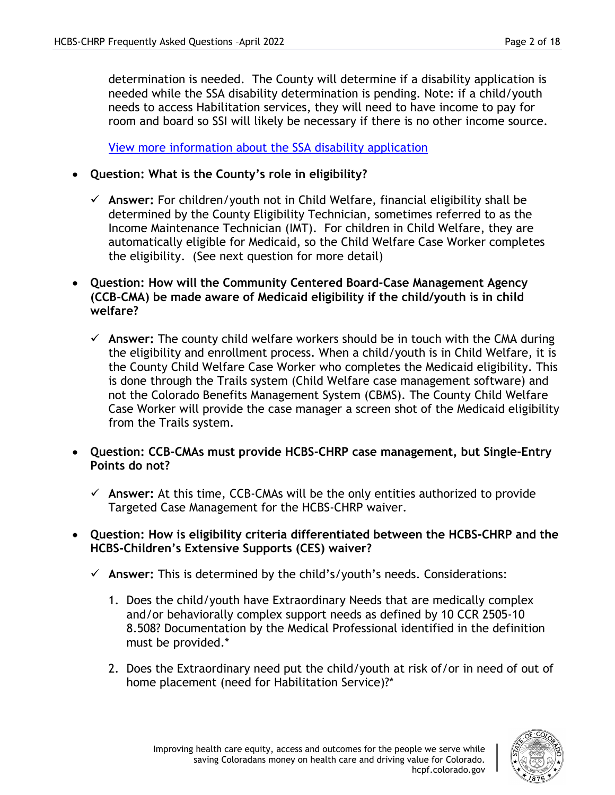determination is needed. The County will determine if a disability application is needed while the SSA disability determination is pending. Note: if a child/youth needs to access Habilitation services, they will need to have income to pay for room and board so SSI will likely be necessary if there is no other income source.

[View more information about the SSA disability application](http://www.ssa.gov/disability/disability_starter_kits_child_eng.htm)

- **Question: What is the County's role in eligibility?**
	- **Answer:** For children/youth not in Child Welfare, financial eligibility shall be determined by the County Eligibility Technician, sometimes referred to as the Income Maintenance Technician (IMT). For children in Child Welfare, they are automatically eligible for Medicaid, so the Child Welfare Case Worker completes the eligibility. (See next question for more detail)
- **Question: How will the Community Centered Board-Case Management Agency (CCB-CMA) be made aware of Medicaid eligibility if the child/youth is in child welfare?**
	- **Answer:** The county child welfare workers should be in touch with the CMA during the eligibility and enrollment process. When a child/youth is in Child Welfare, it is the County Child Welfare Case Worker who completes the Medicaid eligibility. This is done through the Trails system (Child Welfare case management software) and not the Colorado Benefits Management System (CBMS). The County Child Welfare Case Worker will provide the case manager a screen shot of the Medicaid eligibility from the Trails system.
- **Question: CCB-CMAs must provide HCBS-CHRP case management, but Single-Entry Points do not?**
	- **Answer:** At this time, CCB-CMAs will be the only entities authorized to provide Targeted Case Management for the HCBS-CHRP waiver.
- **Question: How is eligibility criteria differentiated between the HCBS-CHRP and the HCBS-Children's Extensive Supports (CES) waiver?**
	- **Answer:** This is determined by the child's/youth's needs. Considerations:
		- 1. Does the child/youth have Extraordinary Needs that are medically complex and/or behaviorally complex support needs as defined by 10 CCR 2505-10 8.508? Documentation by the Medical Professional identified in the definition must be provided.\*
		- 2. Does the Extraordinary need put the child/youth at risk of/or in need of out of home placement (need for Habilitation Service)?\*

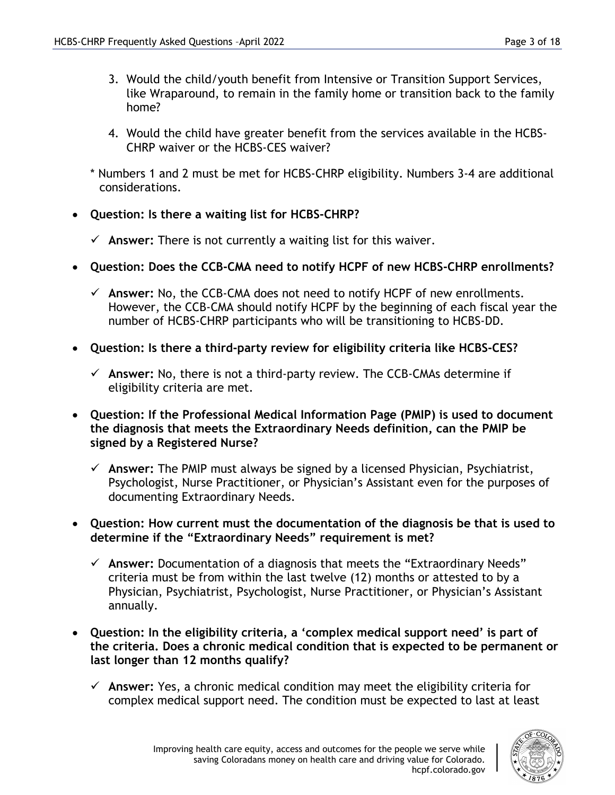- 3. Would the child/youth benefit from Intensive or Transition Support Services, like Wraparound, to remain in the family home or transition back to the family home?
- 4. Would the child have greater benefit from the services available in the HCBS-CHRP waiver or the HCBS-CES waiver?
- \* Numbers 1 and 2 must be met for HCBS-CHRP eligibility. Numbers 3-4 are additional considerations.
- **Question: Is there a waiting list for HCBS-CHRP?**
	- $\checkmark$  Answer: There is not currently a waiting list for this waiver.
- **Question: Does the CCB-CMA need to notify HCPF of new HCBS-CHRP enrollments?**
	- **Answer:** No, the CCB-CMA does not need to notify HCPF of new enrollments. However, the CCB-CMA should notify HCPF by the beginning of each fiscal year the number of HCBS-CHRP participants who will be transitioning to HCBS-DD.
- **Question: Is there a third-party review for eligibility criteria like HCBS-CES?**
	- $\checkmark$  Answer: No, there is not a third-party review. The CCB-CMAs determine if eligibility criteria are met.
- **Question: If the Professional Medical Information Page (PMIP) is used to document the diagnosis that meets the Extraordinary Needs definition, can the PMIP be signed by a Registered Nurse?**
	- **Answer:** The PMIP must always be signed by a licensed Physician, Psychiatrist, Psychologist, Nurse Practitioner, or Physician's Assistant even for the purposes of documenting Extraordinary Needs.
- **Question: How current must the documentation of the diagnosis be that is used to determine if the "Extraordinary Needs" requirement is met?**
	- **Answer:** Documentation of a diagnosis that meets the "Extraordinary Needs" criteria must be from within the last twelve (12) months or attested to by a Physician, Psychiatrist, Psychologist, Nurse Practitioner, or Physician's Assistant annually.
- **Question: In the eligibility criteria, a 'complex medical support need' is part of the criteria. Does a chronic medical condition that is expected to be permanent or last longer than 12 months qualify?**
	- **Answer:** Yes, a chronic medical condition may meet the eligibility criteria for complex medical support need. The condition must be expected to last at least

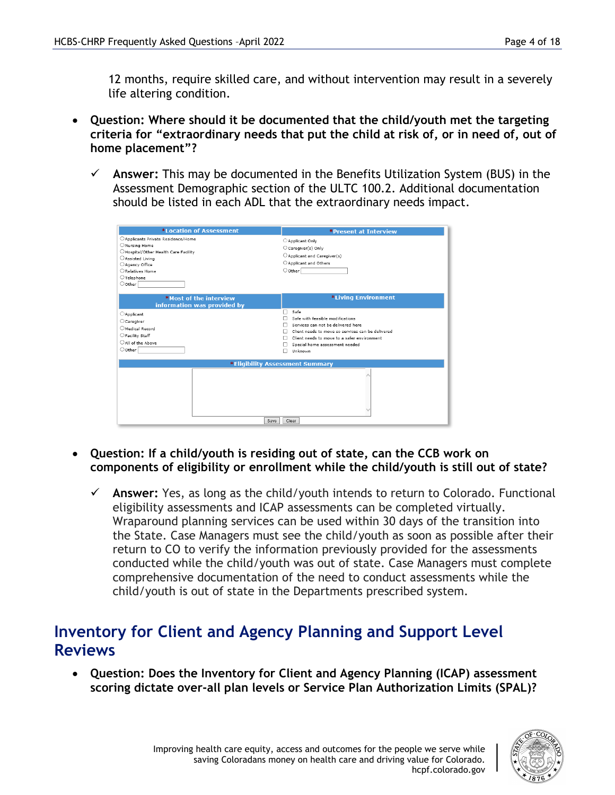12 months, require skilled care, and without intervention may result in a severely life altering condition.

- **Question: Where should it be documented that the child/youth met the targeting criteria for "extraordinary needs that put the child at risk of, or in need of, out of home placement"?**
	- **Answer:** This may be documented in the Benefits Utilization System (BUS) in the Assessment Demographic section of the ULTC 100.2. Additional documentation should be listed in each ADL that the extraordinary needs impact.

| *Location of Assessment                                                                                                                                                                         |                                                                                                                                                                                                                                                                                 |  |  |
|-------------------------------------------------------------------------------------------------------------------------------------------------------------------------------------------------|---------------------------------------------------------------------------------------------------------------------------------------------------------------------------------------------------------------------------------------------------------------------------------|--|--|
| ○ Applicants Private Residence/Home<br>ONursing Home<br>Hospital/Other Health Care Facility<br>○ Assisted Living<br>Agency Office<br>Relatives Home<br>$\bigcirc$ Telephone<br>$\bigcirc$ Other | <b>*Present at Interview</b><br>Applicant Only<br>C Caregiver(s) Only<br>Applicant and Caregiver(s)<br>○ Applicant and Others<br>$\circ$ Other                                                                                                                                  |  |  |
| *Most of the interview<br>information was provided by<br><b>CApplicant</b><br>Caregiver<br>Medical Record<br>○ Facility Staff<br>All of the Above<br>Oother                                     | *Living Environment<br>Safe<br>п<br>Safe with feasible modifications<br>п<br>Services can not be delivered here<br>Client needs to move so services can be delivered<br>п<br>Client needs to move to a safer environment<br>п<br>Special home assessment needed<br>Unknown<br>п |  |  |
|                                                                                                                                                                                                 | *Eligibility Assessment Summary<br>Save<br>Clear                                                                                                                                                                                                                                |  |  |

- **Question: If a child/youth is residing out of state, can the CCB work on components of eligibility or enrollment while the child/youth is still out of state?**
	- **Answer:** Yes, as long as the child/youth intends to return to Colorado. Functional eligibility assessments and ICAP assessments can be completed virtually. Wraparound planning services can be used within 30 days of the transition into the State. Case Managers must see the child/youth as soon as possible after their return to CO to verify the information previously provided for the assessments conducted while the child/youth was out of state. Case Managers must complete comprehensive documentation of the need to conduct assessments while the child/youth is out of state in the Departments prescribed system.

## **Inventory for Client and Agency Planning and Support Level Reviews**

• **Question: Does the Inventory for Client and Agency Planning (ICAP) assessment scoring dictate over-all plan levels or Service Plan Authorization Limits (SPAL)?**

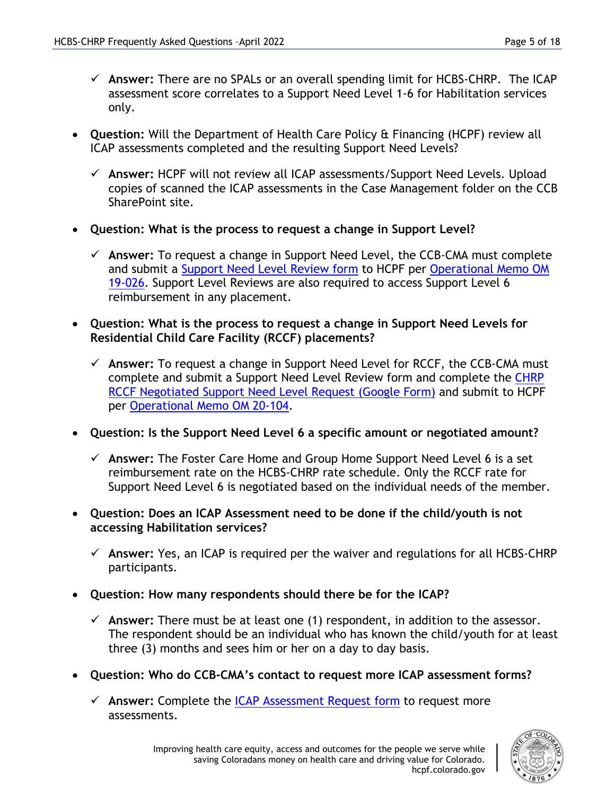- **Answer:** There are no SPALs or an overall spending limit for HCBS-CHRP. The ICAP assessment score correlates to a Support Need Level 1-6 for Habilitation services only.
- **Question:** Will the Department of Health Care Policy & Financing (HCPF) review all ICAP assessments completed and the resulting Support Need Levels?
	- **Answer:** HCPF will not review all ICAP assessments/Support Need Levels. Upload copies of scanned the ICAP assessments in the Case Management folder on the CCB SharePoint site.
- **Question: What is the process to request a change in Support Level?** 
	- **Answer:** To request a change in Support Need Level, the CCB-CMA must complete and submit a Support Need [Level Review](https://hcpf.colorado.gov/sites/hcpf/files/Request%20for%20HCBS-CHRP%20Support%20Level%20Review%20Form.docx) form to HCPF per [Operational Memo OM](https://hcpf.colorado.gov/sites/hcpf/files/HCPF%20OM%2019-026%20Children%27s%20Habilitiation%20Residential%20Program%20%28CHRP%29%20Waiver%20Support%20Need%20Level%20Review%20Process.pdf)  [19-026.](https://hcpf.colorado.gov/sites/hcpf/files/HCPF%20OM%2019-026%20Children%27s%20Habilitiation%20Residential%20Program%20%28CHRP%29%20Waiver%20Support%20Need%20Level%20Review%20Process.pdf) Support Level Reviews are also required to access Support Level 6 reimbursement in any placement.
- **Question: What is the process to request a change in Support Need Levels for Residential Child Care Facility (RCCF) placements?** 
	- **Answer:** To request a change in Support Need Level for RCCF, the CCB-CMA must complete and submit a Support Need Level Review form and complete the [CHRP](https://forms.gle/6kXpAN7rKHRZUrjr6)  [RCCF Negotiated Support Need Level Request \(Google Form\)](https://forms.gle/6kXpAN7rKHRZUrjr6) and submit to HCPF per [Operational Memo OM 20-104.](https://hcpf.colorado.gov/sites/hcpf/files/HCPF%20OM%2020-104%20Home%20and%20Community-Based%20Services%20Children%27s%20Habilitation%20Residential%20Program%20%28HCBS-CHRP%29%20-%20Residential%20Child%20Care%20Facilities%20New%20Rates.pdf)
- **Question: Is the Support Need Level 6 a specific amount or negotiated amount?**
	- **Answer:** The Foster Care Home and Group Home Support Need Level 6 is a set reimbursement rate on the HCBS-CHRP rate schedule. Only the RCCF rate for Support Need Level 6 is negotiated based on the individual needs of the member.
- **Question: Does an ICAP Assessment need to be done if the child/youth is not accessing Habilitation services?**
	- **Answer:** Yes, an ICAP is required per the waiver and regulations for all HCBS-CHRP participants.
- **Question: How many respondents should there be for the ICAP?**
	- **Answer:** There must be at least one (1) respondent, in addition to the assessor. The respondent should be an individual who has known the child/youth for at least three (3) months and sees him or her on a day to day basis.
- **Question: Who do CCB-CMA's contact to request more ICAP assessment forms?**
	- **Answer:** Complete the [ICAP Assessment Request form](https://forms.gle/2vbcvXXNqWs2y2c96) to request more assessments.

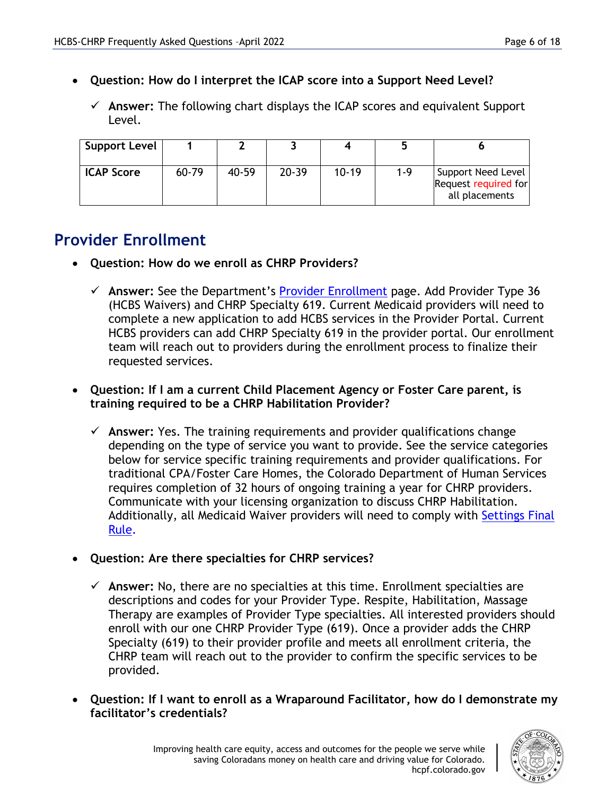- **Question: How do I interpret the ICAP score into a Support Need Level?** 
	- **Answer:** The following chart displays the ICAP scores and equivalent Support Level.

| <b>Support Level</b> |       |       |           |         |     |                                                              |
|----------------------|-------|-------|-----------|---------|-----|--------------------------------------------------------------|
| <b>ICAP Score</b>    | 60-79 | 40-59 | $20 - 39$ | $10-19$ | 1-9 | Support Need Level<br>Request required for<br>all placements |

# **Provider Enrollment**

- **Question: How do we enroll as CHRP Providers?** 
	- **Answer:** See the Department's [Provider Enrollment](https://hcpf.colorado.gov/provider-enrollment) page. Add Provider Type 36 (HCBS Waivers) and CHRP Specialty 619. Current Medicaid providers will need to complete a new application to add HCBS services in the Provider Portal. Current HCBS providers can add CHRP Specialty 619 in the provider portal. Our enrollment team will reach out to providers during the enrollment process to finalize their requested services.

#### • **Question: If I am a current Child Placement Agency or Foster Care parent, is training required to be a CHRP Habilitation Provider?**

- **Answer:** Yes. The training requirements and provider qualifications change depending on the type of service you want to provide. See the service categories below for service specific training requirements and provider qualifications. For traditional CPA/Foster Care Homes, the Colorado Department of Human Services requires completion of 32 hours of ongoing training a year for CHRP providers. Communicate with your licensing organization to discuss CHRP Habilitation. Additionally, all Medicaid Waiver providers will need to comply with [Settings Final](https://hcpf.colorado.gov/home-and-community-based-services-settings-final-rule#Training)  [Rule.](https://hcpf.colorado.gov/home-and-community-based-services-settings-final-rule#Training)
- **Question: Are there specialties for CHRP services?**
	- **Answer:** No, there are no specialties at this time. Enrollment specialties are descriptions and codes for your Provider Type. Respite, Habilitation, Massage Therapy are examples of Provider Type specialties. All interested providers should enroll with our one CHRP Provider Type (619). Once a provider adds the CHRP Specialty (619) to their provider profile and meets all enrollment criteria, the CHRP team will reach out to the provider to confirm the specific services to be provided.
- **Question: If I want to enroll as a Wraparound Facilitator, how do I demonstrate my facilitator's credentials?**

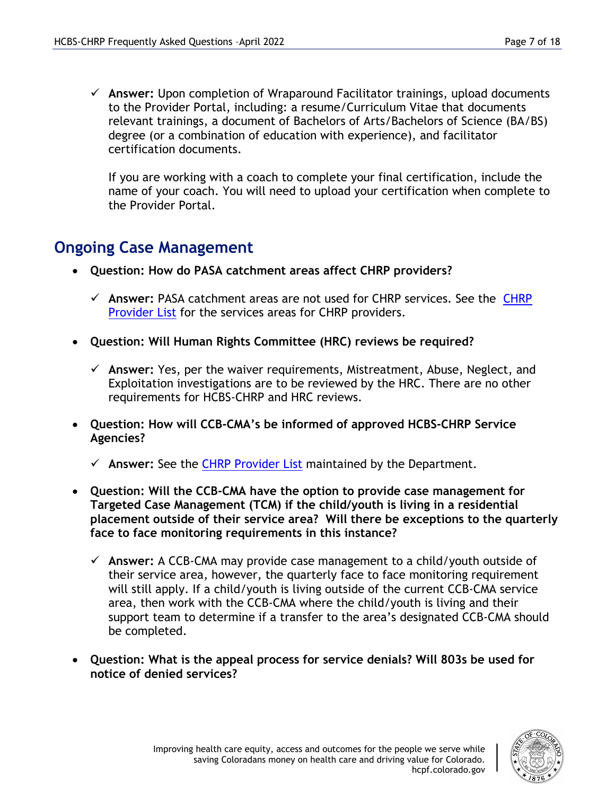**Answer:** Upon completion of Wraparound Facilitator trainings, upload documents to the Provider Portal, including: a resume/Curriculum Vitae that documents relevant trainings, a document of Bachelors of Arts/Bachelors of Science (BA/BS) degree (or a combination of education with experience), and facilitator certification documents.

If you are working with a coach to complete your final certification, include the name of your coach. You will need to upload your certification when complete to the Provider Portal.

## **Ongoing Case Management**

- **Question: How do PASA catchment areas affect CHRP providers?** 
	- **Answer:** PASA catchment areas are not used for CHRP services. See the [CHRP](https://docs.google.com/spreadsheets/d/1F2z0564_JzqyuGRfd4sOKc6M3JcvmYicPFE7rJsUJRY/edit?usp=sharing)  [Provider List](https://docs.google.com/spreadsheets/d/1F2z0564_JzqyuGRfd4sOKc6M3JcvmYicPFE7rJsUJRY/edit?usp=sharing) for the services areas for CHRP providers.
- **Question: Will Human Rights Committee (HRC) reviews be required?**
	- **Answer:** Yes, per the waiver requirements, Mistreatment, Abuse, Neglect, and Exploitation investigations are to be reviewed by the HRC. There are no other requirements for HCBS-CHRP and HRC reviews.
- **Question: How will CCB-CMA's be informed of approved HCBS-CHRP Service Agencies?**
	- **Answer:** See the [CHRP Provider List](https://docs.google.com/spreadsheets/d/1F2z0564_JzqyuGRfd4sOKc6M3JcvmYicPFE7rJsUJRY/edit?usp=sharing) maintained by the Department.
- **Question: Will the CCB-CMA have the option to provide case management for Targeted Case Management (TCM) if the child/youth is living in a residential placement outside of their service area? Will there be exceptions to the quarterly face to face monitoring requirements in this instance?**
	- **Answer:** A CCB-CMA may provide case management to a child/youth outside of their service area, however, the quarterly face to face monitoring requirement will still apply. If a child/youth is living outside of the current CCB-CMA service area, then work with the CCB-CMA where the child/youth is living and their support team to determine if a transfer to the area's designated CCB-CMA should be completed.
- **Question: What is the appeal process for service denials? Will 803s be used for notice of denied services?**

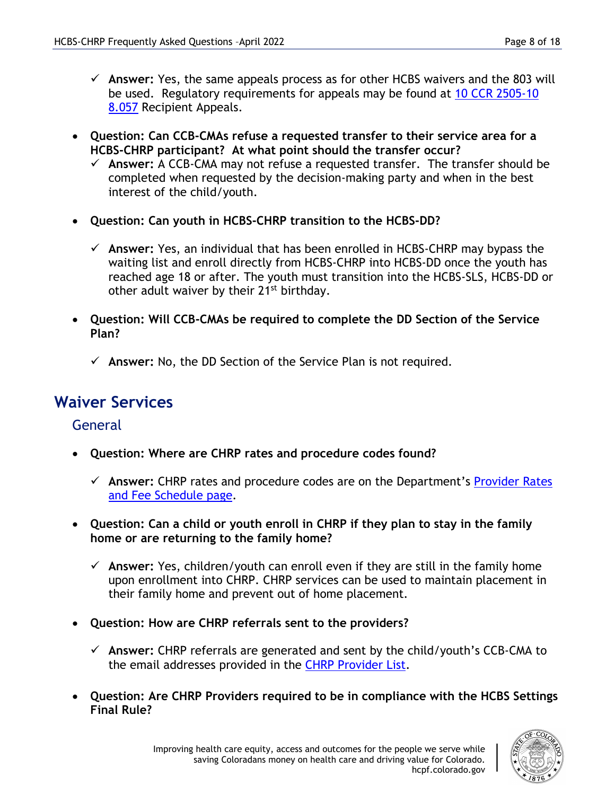- **Answer:** Yes, the same appeals process as for other HCBS waivers and the 803 will be used. Regulatory requirements for appeals may be found at 10 CCR 2505-10 [8.057](https://www.sos.state.co.us/CCR/DisplayRule.do?action=ruleinfo&ruleId=2917&deptID=7&agencyID=69&deptName=2505,1305%20Department%20of%20Health%20Care%20Policy%20and%20Financing&agencyName=2505%20Medical%20Services%20Board%20(Volume%208,%20Medical%20Assistance,%20Children%27s%20Health%20Plan)&seriesNum=10%20CCR%202505-10%208.000) Recipient Appeals.
- **Question: Can CCB-CMAs refuse a requested transfer to their service area for a HCBS-CHRP participant? At what point should the transfer occur?**
	- **Answer:** A CCB-CMA may not refuse a requested transfer. The transfer should be completed when requested by the decision-making party and when in the best interest of the child/youth.
- **Question: Can youth in HCBS-CHRP transition to the HCBS-DD?**
	- **Answer:** Yes, an individual that has been enrolled in HCBS-CHRP may bypass the waiting list and enroll directly from HCBS-CHRP into HCBS-DD once the youth has reached age 18 or after. The youth must transition into the HCBS-SLS, HCBS-DD or other adult waiver by their 21<sup>st</sup> birthday.
- **Question: Will CCB-CMAs be required to complete the DD Section of the Service Plan?**
	- $\checkmark$  Answer: No, the DD Section of the Service Plan is not required.

## **Waiver Services**

#### **General**

- **Question: Where are CHRP rates and procedure codes found?** 
	- **Answer:** CHRP rates and procedure codes are on the Department's [Provider Rates](https://hcpf.colorado.gov/provider-rates-fee-schedule)  [and Fee Schedule page.](https://hcpf.colorado.gov/provider-rates-fee-schedule)
- **Question: Can a child or youth enroll in CHRP if they plan to stay in the family home or are returning to the family home?**
	- **Answer:** Yes, children/youth can enroll even if they are still in the family home upon enrollment into CHRP. CHRP services can be used to maintain placement in their family home and prevent out of home placement.
- **Question: How are CHRP referrals sent to the providers?** 
	- **Answer:** CHRP referrals are generated and sent by the child/youth's CCB-CMA to the email addresses provided in the [CHRP Provider List.](https://docs.google.com/spreadsheets/d/1F2z0564_JzqyuGRfd4sOKc6M3JcvmYicPFE7rJsUJRY/edit?usp=sharing)
- **Question: Are CHRP Providers required to be in compliance with the HCBS Settings Final Rule?**

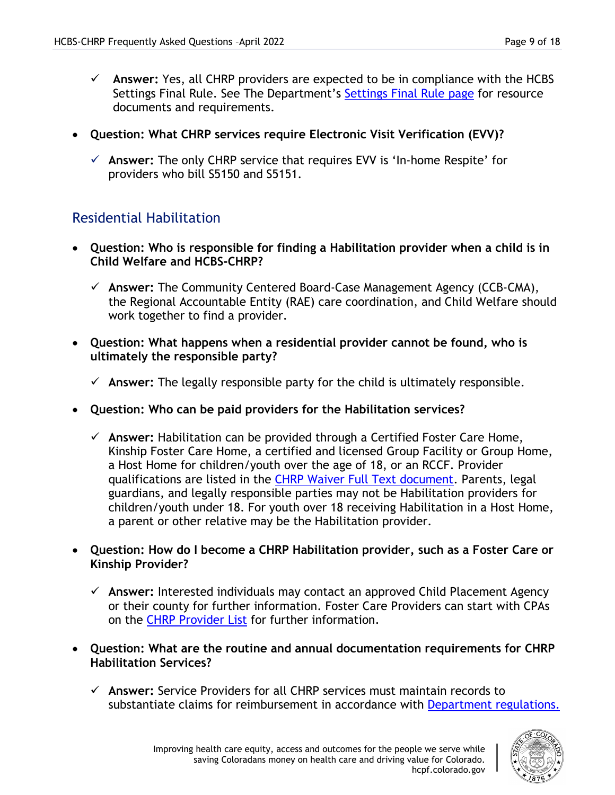- **Answer:** Yes, all CHRP providers are expected to be in compliance with the HCBS Settings Final Rule. See The Department's [Settings Final Rule page](https://hcpf.colorado.gov/home-and-community-based-services-settings-final-rule) for resource documents and requirements.
- **Question: What CHRP services require Electronic Visit Verification (EVV)?**
	- **Answer:** The only CHRP service that requires EVV is 'In-home Respite' for providers who bill S5150 and S5151.

#### Residential Habilitation

- **Question: Who is responsible for finding a Habilitation provider when a child is in Child Welfare and HCBS-CHRP?**
	- **Answer:** The Community Centered Board-Case Management Agency (CCB-CMA), the Regional Accountable Entity (RAE) care coordination, and Child Welfare should work together to find a provider.
- **Question: What happens when a residential provider cannot be found, who is ultimately the responsible party?**
	- $\checkmark$  Answer: The legally responsible party for the child is ultimately responsible.
- **Question: Who can be paid providers for the Habilitation services?** 
	- **Answer:** Habilitation can be provided through a Certified Foster Care Home, Kinship Foster Care Home, a certified and licensed Group Facility or Group Home, a Host Home for children/youth over the age of 18, or an RCCF. Provider qualifications are listed in the [CHRP Waiver Full Text document.](https://hcpf.colorado.gov/hcbs-public-comment#Approved) Parents, legal guardians, and legally responsible parties may not be Habilitation providers for children/youth under 18. For youth over 18 receiving Habilitation in a Host Home, a parent or other relative may be the Habilitation provider.
- **Question: How do I become a CHRP Habilitation provider, such as a Foster Care or Kinship Provider?** 
	- **Answer:** Interested individuals may contact an approved Child Placement Agency or their county for further information. Foster Care Providers can start with CPAs on the [CHRP Provider List](https://docs.google.com/spreadsheets/d/1F2z0564_JzqyuGRfd4sOKc6M3JcvmYicPFE7rJsUJRY/edit?usp=sharing) for further information.
- **Question: What are the routine and annual documentation requirements for CHRP Habilitation Services?**
	- **Answer:** Service Providers for all CHRP services must maintain records to substantiate claims for reimbursement in accordance with [Department](https://www.sos.state.co.us/CCR/NumericalCCRDocList.do?deptID=7&deptName=Department%20of%20Health%20Care%20Policy%20and%20Financing&agencyID=69&agencyName=2505%20Medical%20Services%20Board%20(Volume%208;%20Medical%20Assistance,%20Children%27s%20Health%20Plan)) regulations.

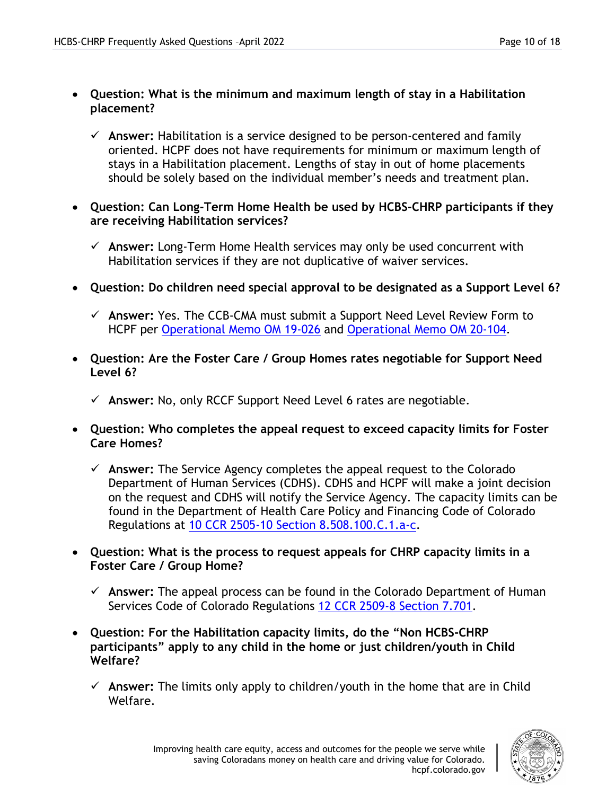#### • **Question: What is the minimum and maximum length of stay in a Habilitation placement?**

- **Answer:** Habilitation is a service designed to be person-centered and family oriented. HCPF does not have requirements for minimum or maximum length of stays in a Habilitation placement. Lengths of stay in out of home placements should be solely based on the individual member's needs and treatment plan.
- **Question: Can Long-Term Home Health be used by HCBS-CHRP participants if they are receiving Habilitation services?**
	- **Answer:** Long-Term Home Health services may only be used concurrent with Habilitation services if they are not duplicative of waiver services.
- **Question: Do children need special approval to be designated as a Support Level 6?** 
	- **Answer:** Yes. The CCB-CMA must submit a Support Need Level Review Form to HCPF per [Operational Memo OM 19-026](https://hcpf.colorado.gov/sites/hcpf/files/HCPF%20OM%2019-026%20Children%27s%20Habilitiation%20Residential%20Program%20%28CHRP%29%20Waiver%20Support%20Need%20Level%20Review%20Process.pdf) and [Operational Memo OM 20-104.](https://hcpf.colorado.gov/sites/hcpf/files/HCPF%20OM%2020-104%20Home%20and%20Community-Based%20Services%20Children%27s%20Habilitation%20Residential%20Program%20%28HCBS-CHRP%29%20-%20Residential%20Child%20Care%20Facilities%20New%20Rates.pdf)
- **Question: Are the Foster Care / Group Homes rates negotiable for Support Need Level 6?** 
	- **Answer:** No, only RCCF Support Need Level 6 rates are negotiable.
- **Question: Who completes the appeal request to exceed capacity limits for Foster Care Homes?**
	- **Answer:** The Service Agency completes the appeal request to the Colorado Department of Human Services (CDHS). CDHS and HCPF will make a joint decision on the request and CDHS will notify the Service Agency. The capacity limits can be found in the Department of Health Care Policy and Financing Code of Colorado Regulations at [10 CCR 2505-10 Section 8.508.100.C.1.a-c.](https://www.sos.state.co.us/CCR/DisplayRule.do?action=ruleinfo&ruleId=2922&deptID=7&agencyID=69&deptName=2505,1305%20Department%20of%20Health%20Care%20Policy%20and%20Financing&agencyName=2505%20Medical%20Services%20Board%20(Volume%208,%20Medical%20Assistance,%20Children%27s%20Health%20Plan)&seriesNum=10%20CCR%202505-10%208.500)
- **Question: What is the process to request appeals for CHRP capacity limits in a Foster Care / Group Home?** 
	- **Answer:** The appeal process can be found in the Colorado Department of Human Services Code of Colorado Regulations [12 CCR 2509-8 Section 7.701.](https://www.sos.state.co.us/CCR/DisplayRule.do?action=ruleinfo&ruleId=2826&deptID=9&agencyID=107&deptName=Department%20of%20Human%20Services&agencyName=Social%20Services%20Rules%20(Volume%207;%20Child%20Welfare,%20Child%20Care%20Facilities)&seriesNum=12%20CCR%202509-7)
- **Question: For the Habilitation capacity limits, do the "Non HCBS-CHRP participants" apply to any child in the home or just children/youth in Child Welfare?**
	- $\checkmark$  Answer: The limits only apply to children/youth in the home that are in Child Welfare.

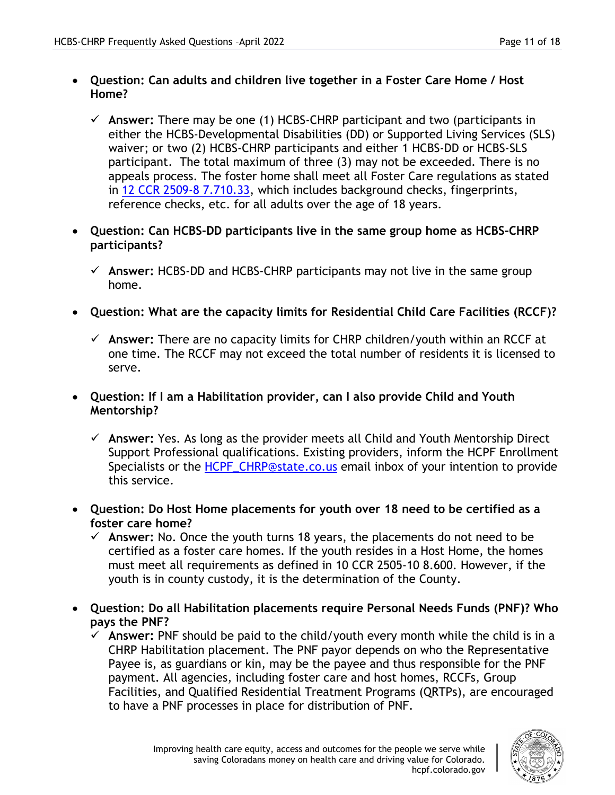- **Question: Can adults and children live together in a Foster Care Home / Host Home?**
	- $\checkmark$  Answer: There may be one (1) HCBS-CHRP participant and two (participants in either the HCBS-Developmental Disabilities (DD) or Supported Living Services (SLS) waiver; or two (2) HCBS-CHRP participants and either 1 HCBS-DD or HCBS-SLS participant. The total maximum of three (3) may not be exceeded. There is no appeals process. The foster home shall meet all Foster Care regulations as stated in 12 CCR [2509-8 7.710.33,](https://www.sos.state.co.us/CCR/DisplayRule.do?action=ruleinfo&ruleId=2827&deptID=9&agencyID=107&deptName=Department%20of%20Human%20Services&agencyName=Social%20Services%20Rules%20(Volume%207;%20Child%20Welfare,%20Child%20Care%20Facilities)&seriesNum=12%20CCR%202509-8) which includes background checks, fingerprints, reference checks, etc. for all adults over the age of 18 years.
- **Question: Can HCBS-DD participants live in the same group home as HCBS-CHRP participants?**
	- **Answer:** HCBS-DD and HCBS-CHRP participants may not live in the same group home.
- **Question: What are the capacity limits for Residential Child Care Facilities (RCCF)?**
	- **Answer:** There are no capacity limits for CHRP children/youth within an RCCF at one time. The RCCF may not exceed the total number of residents it is licensed to serve.
- **Question: If I am a Habilitation provider, can I also provide Child and Youth Mentorship?** 
	- **Answer:** Yes. As long as the provider meets all Child and Youth Mentorship Direct Support Professional qualifications. Existing providers, inform the HCPF Enrollment Specialists or the [HCPF\\_CHRP@state.co.us](mailto:HCPF_CHRP@state.co.us) email inbox of your intention to provide this service.
- **Question: Do Host Home placements for youth over 18 need to be certified as a foster care home?**
	- $\checkmark$  Answer: No. Once the youth turns 18 years, the placements do not need to be certified as a foster care homes. If the youth resides in a Host Home, the homes must meet all requirements as defined in 10 CCR 2505-10 8.600. However, if the youth is in county custody, it is the determination of the County.
- **Question: Do all Habilitation placements require Personal Needs Funds (PNF)? Who pays the PNF?**
	- **Answer:** PNF should be paid to the child/youth every month while the child is in a CHRP Habilitation placement. The PNF payor depends on who the Representative Payee is, as guardians or kin, may be the payee and thus responsible for the PNF payment. All agencies, including foster care and host homes, RCCFs, Group Facilities, and Qualified Residential Treatment Programs (QRTPs), are encouraged to have a PNF processes in place for distribution of PNF.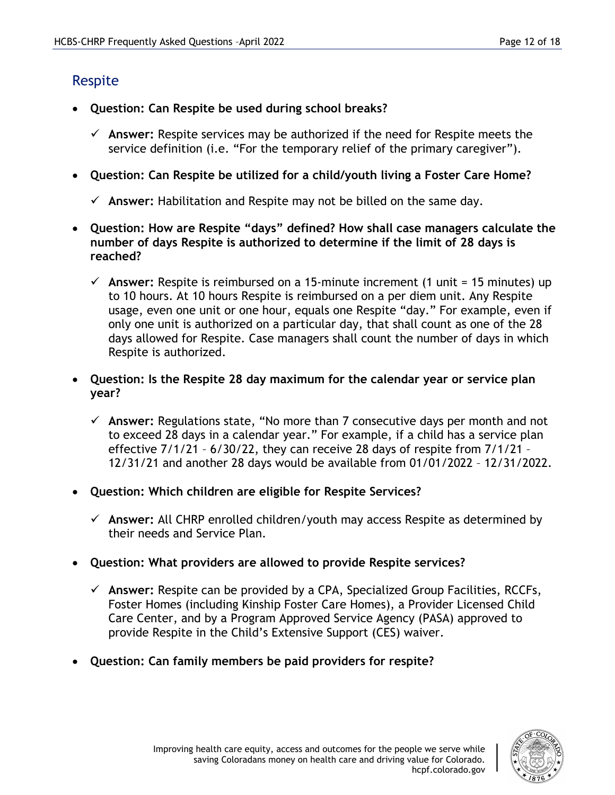## Respite

- **Question: Can Respite be used during school breaks?**
	- **Answer:** Respite services may be authorized if the need for Respite meets the service definition (i.e. "For the temporary relief of the primary caregiver").
- **Question: Can Respite be utilized for a child/youth living a Foster Care Home?**
	- $\checkmark$  Answer: Habilitation and Respite may not be billed on the same day.
- **Question: How are Respite "days" defined? How shall case managers calculate the number of days Respite is authorized to determine if the limit of 28 days is reached?**
	- $\checkmark$  Answer: Respite is reimbursed on a 15-minute increment (1 unit = 15 minutes) up to 10 hours. At 10 hours Respite is reimbursed on a per diem unit. Any Respite usage, even one unit or one hour, equals one Respite "day." For example, even if only one unit is authorized on a particular day, that shall count as one of the 28 days allowed for Respite. Case managers shall count the number of days in which Respite is authorized.
- **Question: Is the Respite 28 day maximum for the calendar year or service plan year?** 
	- **Answer:** Regulations state, "No more than 7 consecutive days per month and not to exceed 28 days in a calendar year." For example, if a child has a service plan effective 7/1/21 – 6/30/22, they can receive 28 days of respite from 7/1/21 – 12/31/21 and another 28 days would be available from 01/01/2022 – 12/31/2022.
- **Question: Which children are eligible for Respite Services?**
	- **Answer:** All CHRP enrolled children/youth may access Respite as determined by their needs and Service Plan.
- **Question: What providers are allowed to provide Respite services?** 
	- **Answer:** Respite can be provided by a CPA, Specialized Group Facilities, RCCFs, Foster Homes (including Kinship Foster Care Homes), a Provider Licensed Child Care Center, and by a Program Approved Service Agency (PASA) approved to provide Respite in the Child's Extensive Support (CES) waiver.
- **Question: Can family members be paid providers for respite?**

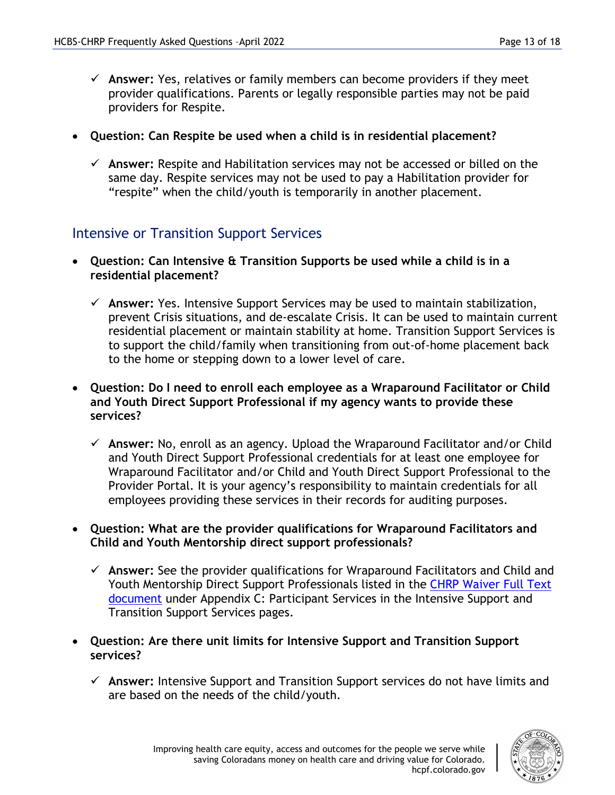- **Answer:** Yes, relatives or family members can become providers if they meet provider qualifications. Parents or legally responsible parties may not be paid providers for Respite.
- **Question: Can Respite be used when a child is in residential placement?** 
	- **Answer:** Respite and Habilitation services may not be accessed or billed on the same day. Respite services may not be used to pay a Habilitation provider for "respite" when the child/youth is temporarily in another placement.

## Intensive or Transition Support Services

- **Question: Can Intensive & Transition Supports be used while a child is in a residential placement?** 
	- **Answer:** Yes. Intensive Support Services may be used to maintain stabilization, prevent Crisis situations, and de-escalate Crisis. It can be used to maintain current residential placement or maintain stability at home. Transition Support Services is to support the child/family when transitioning from out-of-home placement back to the home or stepping down to a lower level of care.
- **Question: Do I need to enroll each employee as a Wraparound Facilitator or Child and Youth Direct Support Professional if my agency wants to provide these services?**
	- **Answer:** No, enroll as an agency. Upload the Wraparound Facilitator and/or Child and Youth Direct Support Professional credentials for at least one employee for Wraparound Facilitator and/or Child and Youth Direct Support Professional to the Provider Portal. It is your agency's responsibility to maintain credentials for all employees providing these services in their records for auditing purposes.
- **Question: What are the provider qualifications for Wraparound Facilitators and Child and Youth Mentorship direct support professionals?**
	- **Answer:** See the provider qualifications for Wraparound Facilitators and Child and Youth Mentorship Direct Support Professionals listed in the [CHRP Waiver Full Text](https://hcpf.colorado.gov/hcbs-public-comment#Approved)  [document](https://hcpf.colorado.gov/hcbs-public-comment#Approved) under Appendix C: Participant Services in the Intensive Support and Transition Support Services pages.
- **Question: Are there unit limits for Intensive Support and Transition Support services?**
	- **Answer:** Intensive Support and Transition Support services do not have limits and are based on the needs of the child/youth.

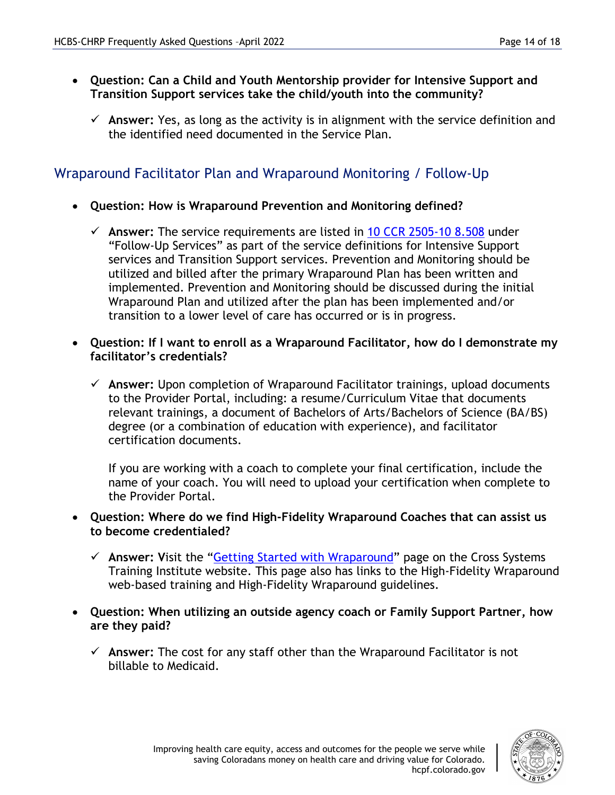- **Question: Can a Child and Youth Mentorship provider for Intensive Support and Transition Support services take the child/youth into the community?**
	- $\checkmark$  Answer: Yes, as long as the activity is in alignment with the service definition and the identified need documented in the Service Plan.

## Wraparound Facilitator Plan and Wraparound Monitoring / Follow-Up

- **Question: How is Wraparound Prevention and Monitoring defined?** 
	- **Answer:** The service requirements are listed in [10 CCR 2505-10 8.508](https://www.sos.state.co.us/CCR/DisplayRule.do?action=ruleinfo&ruleId=2922&deptID=7&agencyID=69&deptName=2505,1305%20Department%20of%20Health%20Care%20Policy%20and%20Financing&agencyName=2505%20Medical%20Services%20Board%20(Volume%208,%20Medical%20Assistance,%20Children%27s%20Health%20Plan)&seriesNum=10%20CCR%202505-10%208.500) under "Follow-Up Services" as part of the service definitions for Intensive Support services and Transition Support services. Prevention and Monitoring should be utilized and billed after the primary Wraparound Plan has been written and implemented. Prevention and Monitoring should be discussed during the initial Wraparound Plan and utilized after the plan has been implemented and/or transition to a lower level of care has occurred or is in progress.
- **Question: If I want to enroll as a Wraparound Facilitator, how do I demonstrate my facilitator's credentials?**
	- **Answer:** Upon completion of Wraparound Facilitator trainings, upload documents to the Provider Portal, including: a resume/Curriculum Vitae that documents relevant trainings, a document of Bachelors of Arts/Bachelors of Science (BA/BS) degree (or a combination of education with experience), and facilitator certification documents.

If you are working with a coach to complete your final certification, include the name of your coach. You will need to upload your certification when complete to the Provider Portal.

- **Question: Where do we find High-Fidelity Wraparound Coaches that can assist us to become credentialed?** 
	- **Answer: V**isit the ["Getting Started with Wraparound"](https://learn.coloradocsti.org/mod/page/view.php?id=518) page on the Cross Systems Training Institute website. This page also has links to the High-Fidelity Wraparound web-based training and High-Fidelity Wraparound guidelines.
- **Question: When utilizing an outside agency coach or Family Support Partner, how are they paid?** 
	- **Answer:** The cost for any staff other than the Wraparound Facilitator is not billable to Medicaid.

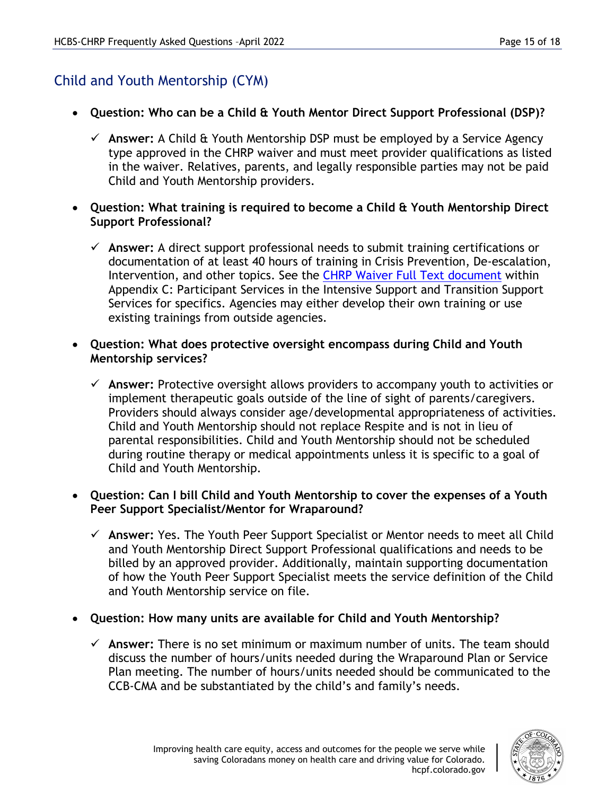## Child and Youth Mentorship (CYM)

- **Question: Who can be a Child & Youth Mentor Direct Support Professional (DSP)?** 
	- **Answer:** A Child & Youth Mentorship DSP must be employed by a Service Agency type approved in the CHRP waiver and must meet provider qualifications as listed in the waiver. Relatives, parents, and legally responsible parties may not be paid Child and Youth Mentorship providers.
- **Question: What training is required to become a Child & Youth Mentorship Direct Support Professional?** 
	- **Answer:** A direct support professional needs to submit training certifications or documentation of at least 40 hours of training in Crisis Prevention, De-escalation, Intervention, and other topics. See the **CHRP Waiver Full Text document** within Appendix C: Participant Services in the Intensive Support and Transition Support Services for specifics. Agencies may either develop their own training or use existing trainings from outside agencies.
- **Question: What does protective oversight encompass during Child and Youth Mentorship services?** 
	- **Answer:** Protective oversight allows providers to accompany youth to activities or implement therapeutic goals outside of the line of sight of parents/caregivers. Providers should always consider age/developmental appropriateness of activities. Child and Youth Mentorship should not replace Respite and is not in lieu of parental responsibilities. Child and Youth Mentorship should not be scheduled during routine therapy or medical appointments unless it is specific to a goal of Child and Youth Mentorship.

#### • **Question: Can I bill Child and Youth Mentorship to cover the expenses of a Youth Peer Support Specialist/Mentor for Wraparound?**

- **Answer:** Yes. The Youth Peer Support Specialist or Mentor needs to meet all Child and Youth Mentorship Direct Support Professional qualifications and needs to be billed by an approved provider. Additionally, maintain supporting documentation of how the Youth Peer Support Specialist meets the service definition of the Child and Youth Mentorship service on file.
- **Question: How many units are available for Child and Youth Mentorship?**
	- **Answer:** There is no set minimum or maximum number of units. The team should discuss the number of hours/units needed during the Wraparound Plan or Service Plan meeting. The number of hours/units needed should be communicated to the CCB-CMA and be substantiated by the child's and family's needs.

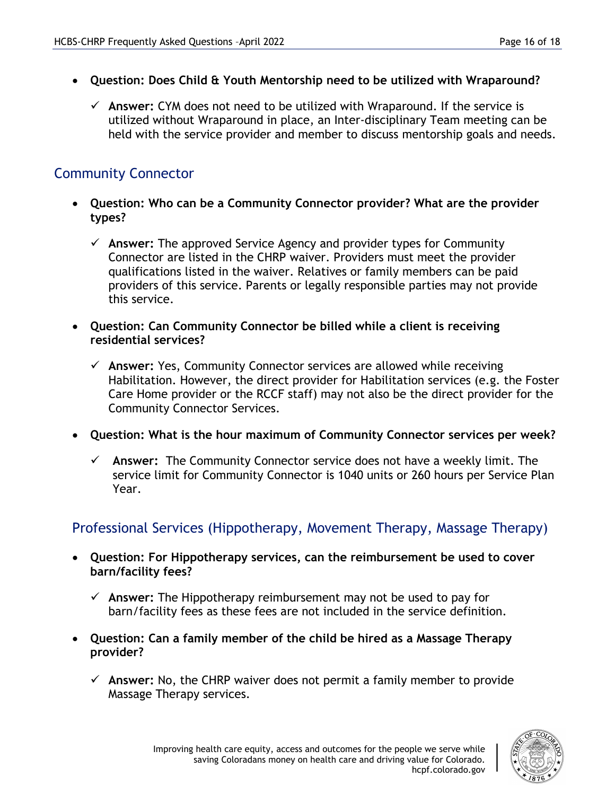- **Question: Does Child & Youth Mentorship need to be utilized with Wraparound?** 
	- **Answer:** CYM does not need to be utilized with Wraparound. If the service is utilized without Wraparound in place, an Inter-disciplinary Team meeting can be held with the service provider and member to discuss mentorship goals and needs.

## Community Connector

- **Question: Who can be a Community Connector provider? What are the provider types?** 
	- **Answer:** The approved Service Agency and provider types for Community Connector are listed in the CHRP waiver. Providers must meet the provider qualifications listed in the waiver. Relatives or family members can be paid providers of this service. Parents or legally responsible parties may not provide this service.
- **Question: Can Community Connector be billed while a client is receiving residential services?** 
	- **Answer:** Yes, Community Connector services are allowed while receiving Habilitation. However, the direct provider for Habilitation services (e.g. the Foster Care Home provider or the RCCF staff) may not also be the direct provider for the Community Connector Services.
- **Question: What is the hour maximum of Community Connector services per week?** 
	- **Answer:** The Community Connector service does not have a weekly limit. The service limit for Community Connector is 1040 units or 260 hours per Service Plan Year.

#### Professional Services (Hippotherapy, Movement Therapy, Massage Therapy)

- **Question: For Hippotherapy services, can the reimbursement be used to cover barn/facility fees?**
	- **Answer:** The Hippotherapy reimbursement may not be used to pay for barn/facility fees as these fees are not included in the service definition.
- **Question: Can a family member of the child be hired as a Massage Therapy provider?** 
	- **Answer:** No, the CHRP waiver does not permit a family member to provide Massage Therapy services.

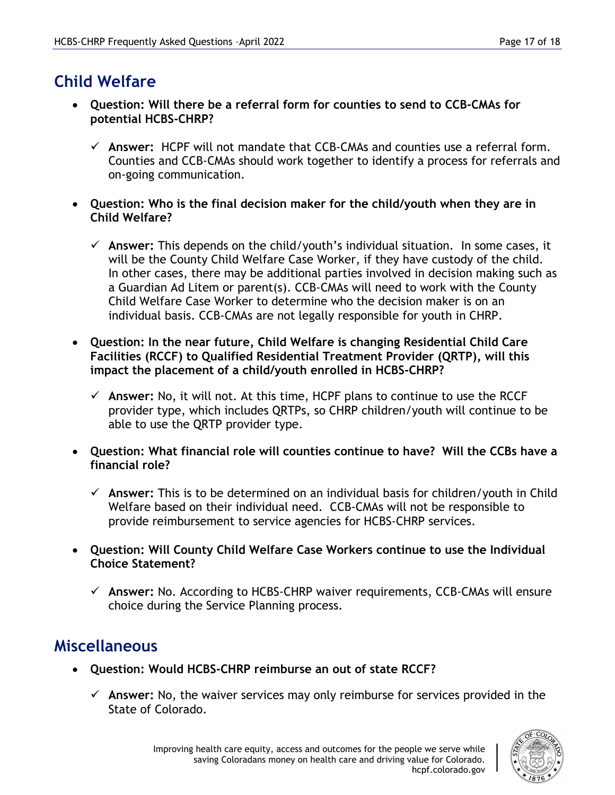# **Child Welfare**

- **Question: Will there be a referral form for counties to send to CCB-CMAs for potential HCBS-CHRP?**
	- **Answer:** HCPF will not mandate that CCB-CMAs and counties use a referral form. Counties and CCB-CMAs should work together to identify a process for referrals and on-going communication.
- **Question: Who is the final decision maker for the child/youth when they are in Child Welfare?**
	- **Answer:** This depends on the child/youth's individual situation. In some cases, it will be the County Child Welfare Case Worker, if they have custody of the child. In other cases, there may be additional parties involved in decision making such as a Guardian Ad Litem or parent(s). CCB-CMAs will need to work with the County Child Welfare Case Worker to determine who the decision maker is on an individual basis. CCB-CMAs are not legally responsible for youth in CHRP.
- **Question: In the near future, Child Welfare is changing Residential Child Care Facilities (RCCF) to Qualified Residential Treatment Provider (QRTP), will this impact the placement of a child/youth enrolled in HCBS-CHRP?**
	- $\checkmark$  Answer: No, it will not. At this time, HCPF plans to continue to use the RCCF provider type, which includes QRTPs, so CHRP children/youth will continue to be able to use the QRTP provider type.
- **Question: What financial role will counties continue to have? Will the CCBs have a financial role?**
	- **Answer:** This is to be determined on an individual basis for children/youth in Child Welfare based on their individual need. CCB-CMAs will not be responsible to provide reimbursement to service agencies for HCBS-CHRP services.
- **Question: Will County Child Welfare Case Workers continue to use the Individual Choice Statement?**
	- **Answer:** No. According to HCBS-CHRP waiver requirements, CCB-CMAs will ensure choice during the Service Planning process.

## **Miscellaneous**

- **Question: Would HCBS-CHRP reimburse an out of state RCCF?**
	- **Answer:** No, the waiver services may only reimburse for services provided in the State of Colorado.